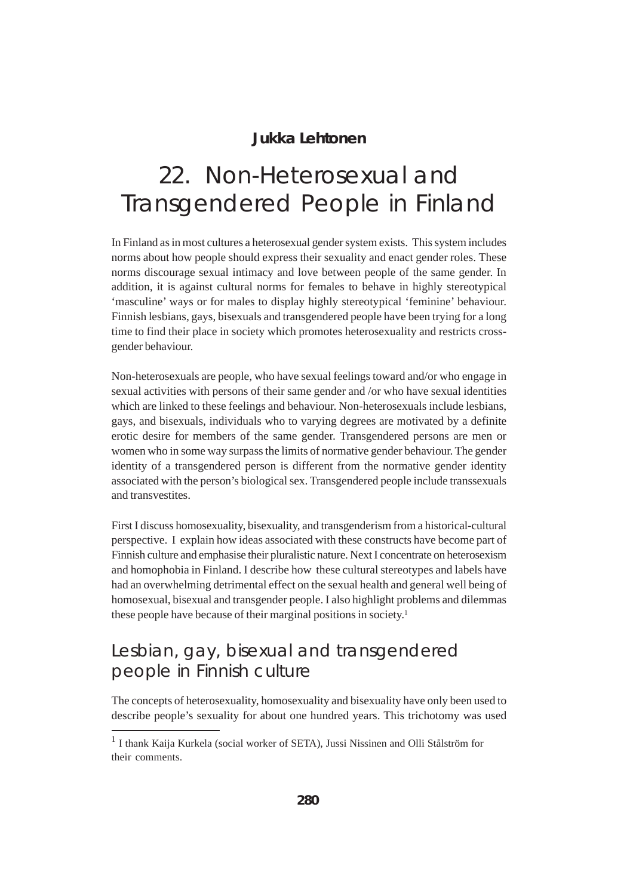#### **Jukka Lehtonen**

# 22. Non-Heterosexual and Transgendered People in Finland

In Finland as in most cultures a heterosexual gender system exists. This system includes norms about how people should express their sexuality and enact gender roles. These norms discourage sexual intimacy and love between people of the same gender. In addition, it is against cultural norms for females to behave in highly stereotypical 'masculine' ways or for males to display highly stereotypical 'feminine' behaviour. Finnish lesbians, gays, bisexuals and transgendered people have been trying for a long time to find their place in society which promotes heterosexuality and restricts crossgender behaviour.

Non-heterosexuals are people, who have sexual feelings toward and/or who engage in sexual activities with persons of their same gender and /or who have sexual identities which are linked to these feelings and behaviour. Non-heterosexuals include lesbians, gays, and bisexuals, individuals who to varying degrees are motivated by a definite erotic desire for members of the same gender. Transgendered persons are men or women who in some way surpass the limits of normative gender behaviour. The gender identity of a transgendered person is different from the normative gender identity associated with the person's biological sex. Transgendered people include transsexuals and transvestites.

First I discuss homosexuality, bisexuality, and transgenderism from a historical-cultural perspective. I explain how ideas associated with these constructs have become part of Finnish culture and emphasise their pluralistic nature. Next I concentrate on heterosexism and homophobia in Finland. I describe how these cultural stereotypes and labels have had an overwhelming detrimental effect on the sexual health and general well being of homosexual, bisexual and transgender people. I also highlight problems and dilemmas these people have because of their marginal positions in society.<sup>1</sup>

## Lesbian, gay, bisexual and transgendered people in Finnish culture

The concepts of heterosexuality, homosexuality and bisexuality have only been used to describe people's sexuality for about one hundred years. This trichotomy was used

<sup>&</sup>lt;sup>1</sup> I thank Kaija Kurkela (social worker of SETA), Jussi Nissinen and Olli Stålström for their comments.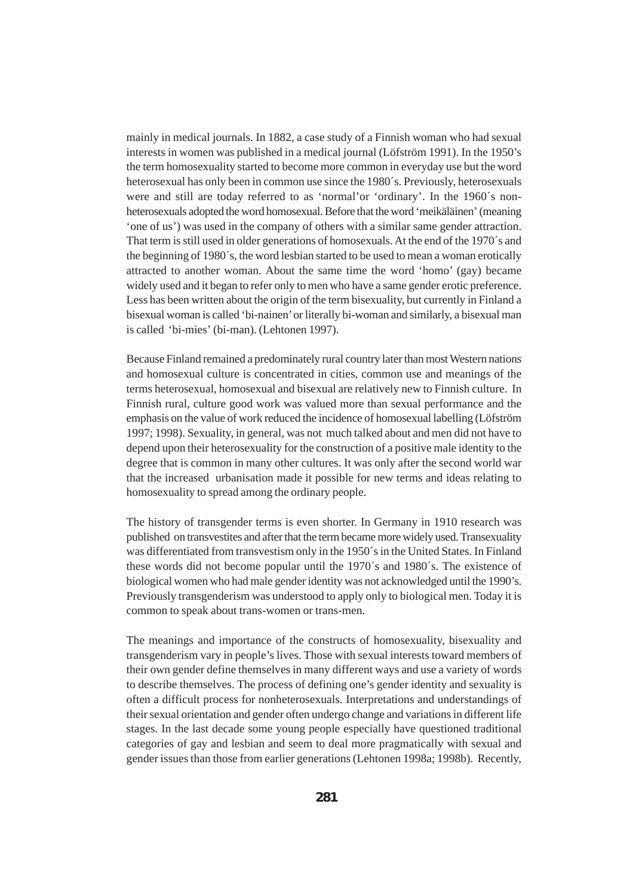mainly in medical journals. In 1882, a case study of a Finnish woman who had sexual interests in women was published in a medical journal (Löfström 1991). In the 1950's the term homosexuality started to become more common in everyday use but the word heterosexual has only been in common use since the 1980´s. Previously, heterosexuals were and still are today referred to as 'normal'or 'ordinary'. In the 1960´s nonheterosexuals adopted the word homosexual. Before that the word 'meikäläinen' (meaning 'one of us') was used in the company of others with a similar same gender attraction. That term is still used in older generations of homosexuals. At the end of the 1970´s and the beginning of 1980´s, the word lesbian started to be used to mean a woman erotically attracted to another woman. About the same time the word 'homo' (gay) became widely used and it began to refer only to men who have a same gender erotic preference. Less has been written about the origin of the term bisexuality, but currently in Finland a bisexual woman is called 'bi-nainen' or literally bi-woman and similarly, a bisexual man is called 'bi-mies' (bi-man). (Lehtonen 1997).

Because Finland remained a predominately rural country later than most Western nations and homosexual culture is concentrated in cities, common use and meanings of the terms heterosexual, homosexual and bisexual are relatively new to Finnish culture. In Finnish rural, culture good work was valued more than sexual performance and the emphasis on the value of work reduced the incidence of homosexual labelling (Löfström 1997; 1998). Sexuality, in general, was not much talked about and men did not have to depend upon their heterosexuality for the construction of a positive male identity to the degree that is common in many other cultures. It was only after the second world war that the increased urbanisation made it possible for new terms and ideas relating to homosexuality to spread among the ordinary people.

The history of transgender terms is even shorter. In Germany in 1910 research was published on transvestites and after that the term became more widely used. Transexuality was differentiated from transvestism only in the 1950´s in the United States. In Finland these words did not become popular until the 1970´s and 1980´s. The existence of biological women who had male gender identity was not acknowledged until the 1990's. Previously transgenderism was understood to apply only to biological men. Today it is common to speak about trans-women or trans-men.

The meanings and importance of the constructs of homosexuality, bisexuality and transgenderism vary in people's lives. Those with sexual interests toward members of their own gender define themselves in many different ways and use a variety of words to describe themselves. The process of defining one's gender identity and sexuality is often a difficult process for nonheterosexuals. Interpretations and understandings of their sexual orientation and gender often undergo change and variations in different life stages. In the last decade some young people especially have questioned traditional categories of gay and lesbian and seem to deal more pragmatically with sexual and gender issues than those from earlier generations (Lehtonen 1998a; 1998b). Recently,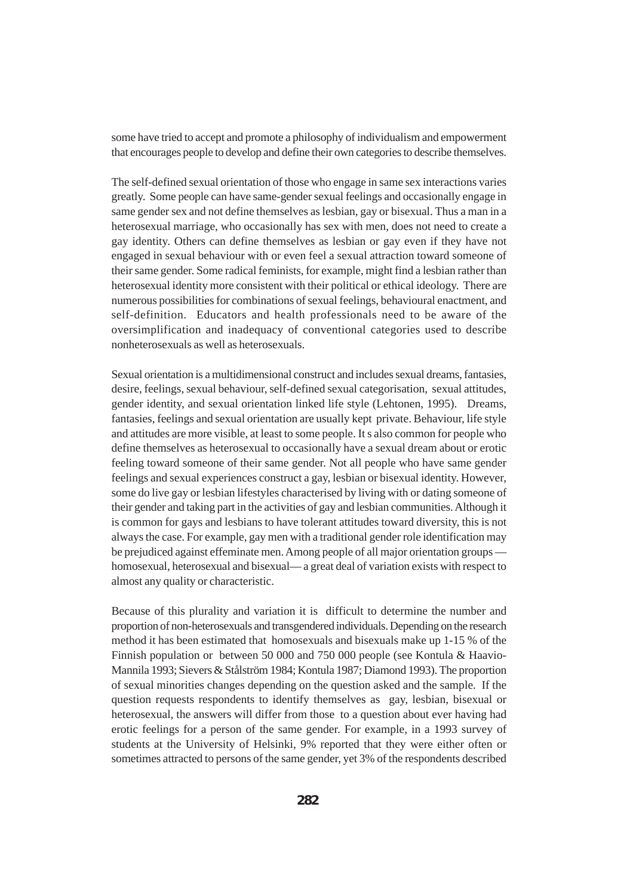some have tried to accept and promote a philosophy of individualism and empowerment that encourages people to develop and define their own categories to describe themselves.

The self-defined sexual orientation of those who engage in same sex interactions varies greatly. Some people can have same-gender sexual feelings and occasionally engage in same gender sex and not define themselves as lesbian, gay or bisexual. Thus a man in a heterosexual marriage, who occasionally has sex with men, does not need to create a gay identity. Others can define themselves as lesbian or gay even if they have not engaged in sexual behaviour with or even feel a sexual attraction toward someone of their same gender. Some radical feminists, for example, might find a lesbian rather than heterosexual identity more consistent with their political or ethical ideology. There are numerous possibilities for combinations of sexual feelings, behavioural enactment, and self-definition. Educators and health professionals need to be aware of the oversimplification and inadequacy of conventional categories used to describe nonheterosexuals as well as heterosexuals.

Sexual orientation is a multidimensional construct and includes sexual dreams, fantasies, desire, feelings, sexual behaviour, self-defined sexual categorisation, sexual attitudes, gender identity, and sexual orientation linked life style (Lehtonen, 1995). Dreams, fantasies, feelings and sexual orientation are usually kept private. Behaviour, life style and attitudes are more visible, at least to some people. It s also common for people who define themselves as heterosexual to occasionally have a sexual dream about or erotic feeling toward someone of their same gender. Not all people who have same gender feelings and sexual experiences construct a gay, lesbian or bisexual identity. However, some do live gay or lesbian lifestyles characterised by living with or dating someone of their gender and taking part in the activities of gay and lesbian communities. Although it is common for gays and lesbians to have tolerant attitudes toward diversity, this is not always the case. For example, gay men with a traditional gender role identification may be prejudiced against effeminate men. Among people of all major orientation groups homosexual, heterosexual and bisexual— a great deal of variation exists with respect to almost any quality or characteristic.

Because of this plurality and variation it is difficult to determine the number and proportion of non-heterosexuals and transgendered individuals. Depending on the research method it has been estimated that homosexuals and bisexuals make up 1-15 % of the Finnish population or between 50 000 and 750 000 people (see Kontula & Haavio-Mannila 1993; Sievers & Stålström 1984; Kontula 1987; Diamond 1993). The proportion of sexual minorities changes depending on the question asked and the sample. If the question requests respondents to identify themselves as gay, lesbian, bisexual or heterosexual, the answers will differ from those to a question about ever having had erotic feelings for a person of the same gender. For example, in a 1993 survey of students at the University of Helsinki, 9% reported that they were either often or sometimes attracted to persons of the same gender, yet 3% of the respondents described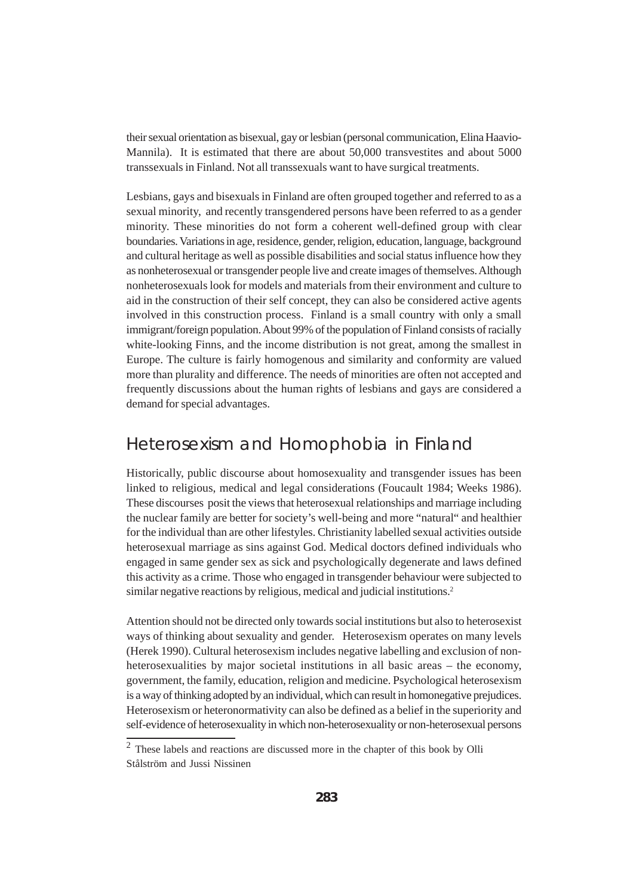their sexual orientation as bisexual, gay or lesbian (personal communication, Elina Haavio-Mannila). It is estimated that there are about 50,000 transvestites and about 5000 transsexuals in Finland. Not all transsexuals want to have surgical treatments.

Lesbians, gays and bisexuals in Finland are often grouped together and referred to as a sexual minority, and recently transgendered persons have been referred to as a gender minority. These minorities do not form a coherent well-defined group with clear boundaries. Variations in age, residence, gender, religion, education, language, background and cultural heritage as well as possible disabilities and social status influence how they as nonheterosexual or transgender people live and create images of themselves. Although nonheterosexuals look for models and materials from their environment and culture to aid in the construction of their self concept, they can also be considered active agents involved in this construction process. Finland is a small country with only a small immigrant/foreign population. About 99% of the population of Finland consists of racially white-looking Finns, and the income distribution is not great, among the smallest in Europe. The culture is fairly homogenous and similarity and conformity are valued more than plurality and difference. The needs of minorities are often not accepted and frequently discussions about the human rights of lesbians and gays are considered a demand for special advantages.

#### Heterosexism and Homophobia in Finland

Historically, public discourse about homosexuality and transgender issues has been linked to religious, medical and legal considerations (Foucault 1984; Weeks 1986). These discourses posit the views that heterosexual relationships and marriage including the nuclear family are better for society's well-being and more "natural" and healthier for the individual than are other lifestyles. Christianity labelled sexual activities outside heterosexual marriage as sins against God. Medical doctors defined individuals who engaged in same gender sex as sick and psychologically degenerate and laws defined this activity as a crime. Those who engaged in transgender behaviour were subjected to similar negative reactions by religious, medical and judicial institutions.<sup>2</sup>

Attention should not be directed only towards social institutions but also to heterosexist ways of thinking about sexuality and gender. Heterosexism operates on many levels (Herek 1990). Cultural heterosexism includes negative labelling and exclusion of nonheterosexualities by major societal institutions in all basic areas – the economy, government, the family, education, religion and medicine. Psychological heterosexism is a way of thinking adopted by an individual, which can result in homonegative prejudices. Heterosexism or heteronormativity can also be defined as a belief in the superiority and self-evidence of heterosexuality in which non-heterosexuality or non-heterosexual persons

<sup>2</sup> These labels and reactions are discussed more in the chapter of this book by Olli Stålström and Jussi Nissinen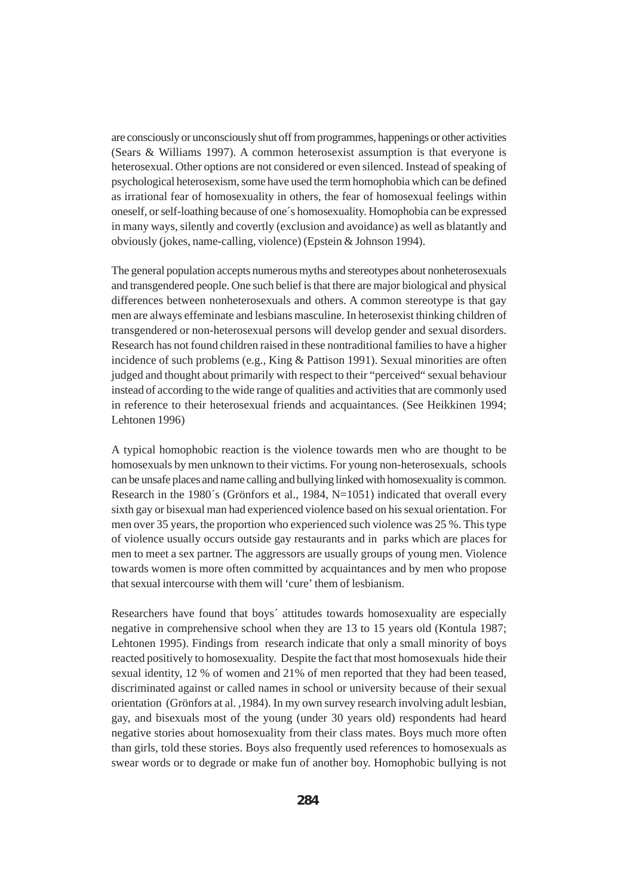are consciously or unconsciously shut off from programmes, happenings or other activities (Sears & Williams 1997). A common heterosexist assumption is that everyone is heterosexual. Other options are not considered or even silenced. Instead of speaking of psychological heterosexism, some have used the term homophobia which can be defined as irrational fear of homosexuality in others, the fear of homosexual feelings within oneself, or self-loathing because of one´s homosexuality. Homophobia can be expressed in many ways, silently and covertly (exclusion and avoidance) as well as blatantly and obviously (jokes, name-calling, violence) (Epstein & Johnson 1994).

The general population accepts numerous myths and stereotypes about nonheterosexuals and transgendered people. One such belief is that there are major biological and physical differences between nonheterosexuals and others. A common stereotype is that gay men are always effeminate and lesbians masculine. In heterosexist thinking children of transgendered or non-heterosexual persons will develop gender and sexual disorders. Research has not found children raised in these nontraditional families to have a higher incidence of such problems (e.g., King & Pattison 1991). Sexual minorities are often judged and thought about primarily with respect to their "perceived" sexual behaviour instead of according to the wide range of qualities and activities that are commonly used in reference to their heterosexual friends and acquaintances. (See Heikkinen 1994; Lehtonen 1996)

A typical homophobic reaction is the violence towards men who are thought to be homosexuals by men unknown to their victims. For young non-heterosexuals, schools can be unsafe places and name calling and bullying linked with homosexuality is common. Research in the 1980´s (Grönfors et al., 1984, N=1051) indicated that overall every sixth gay or bisexual man had experienced violence based on his sexual orientation. For men over 35 years, the proportion who experienced such violence was 25 %. This type of violence usually occurs outside gay restaurants and in parks which are places for men to meet a sex partner. The aggressors are usually groups of young men. Violence towards women is more often committed by acquaintances and by men who propose that sexual intercourse with them will 'cure' them of lesbianism.

Researchers have found that boys´ attitudes towards homosexuality are especially negative in comprehensive school when they are 13 to 15 years old (Kontula 1987; Lehtonen 1995). Findings from research indicate that only a small minority of boys reacted positively to homosexuality. Despite the fact that most homosexuals hide their sexual identity, 12 % of women and 21% of men reported that they had been teased, discriminated against or called names in school or university because of their sexual orientation (Grönfors at al. ,1984). In my own survey research involving adult lesbian, gay, and bisexuals most of the young (under 30 years old) respondents had heard negative stories about homosexuality from their class mates. Boys much more often than girls, told these stories. Boys also frequently used references to homosexuals as swear words or to degrade or make fun of another boy. Homophobic bullying is not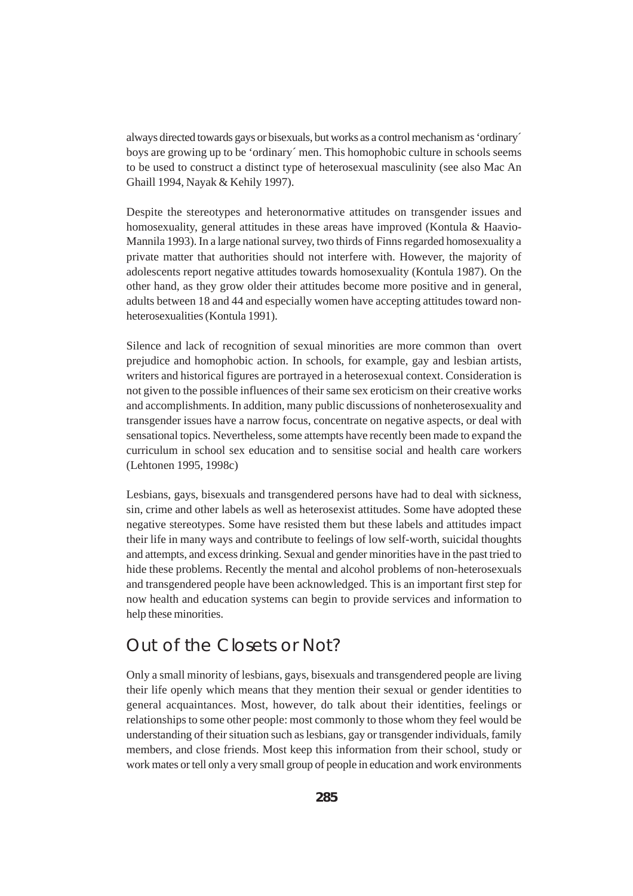always directed towards gays or bisexuals, but works as a control mechanism as 'ordinary´ boys are growing up to be 'ordinary´ men. This homophobic culture in schools seems to be used to construct a distinct type of heterosexual masculinity (see also Mac An Ghaill 1994, Nayak & Kehily 1997).

Despite the stereotypes and heteronormative attitudes on transgender issues and homosexuality, general attitudes in these areas have improved (Kontula & Haavio-Mannila 1993). In a large national survey, two thirds of Finns regarded homosexuality a private matter that authorities should not interfere with. However, the majority of adolescents report negative attitudes towards homosexuality (Kontula 1987). On the other hand, as they grow older their attitudes become more positive and in general, adults between 18 and 44 and especially women have accepting attitudes toward nonheterosexualities (Kontula 1991).

Silence and lack of recognition of sexual minorities are more common than overt prejudice and homophobic action. In schools, for example, gay and lesbian artists, writers and historical figures are portrayed in a heterosexual context. Consideration is not given to the possible influences of their same sex eroticism on their creative works and accomplishments. In addition, many public discussions of nonheterosexuality and transgender issues have a narrow focus, concentrate on negative aspects, or deal with sensational topics. Nevertheless, some attempts have recently been made to expand the curriculum in school sex education and to sensitise social and health care workers (Lehtonen 1995, 1998c)

Lesbians, gays, bisexuals and transgendered persons have had to deal with sickness, sin, crime and other labels as well as heterosexist attitudes. Some have adopted these negative stereotypes. Some have resisted them but these labels and attitudes impact their life in many ways and contribute to feelings of low self-worth, suicidal thoughts and attempts, and excess drinking. Sexual and gender minorities have in the past tried to hide these problems. Recently the mental and alcohol problems of non-heterosexuals and transgendered people have been acknowledged. This is an important first step for now health and education systems can begin to provide services and information to help these minorities.

### Out of the Closets or Not?

Only a small minority of lesbians, gays, bisexuals and transgendered people are living their life openly which means that they mention their sexual or gender identities to general acquaintances. Most, however, do talk about their identities, feelings or relationships to some other people: most commonly to those whom they feel would be understanding of their situation such as lesbians, gay or transgender individuals, family members, and close friends. Most keep this information from their school, study or work mates or tell only a very small group of people in education and work environments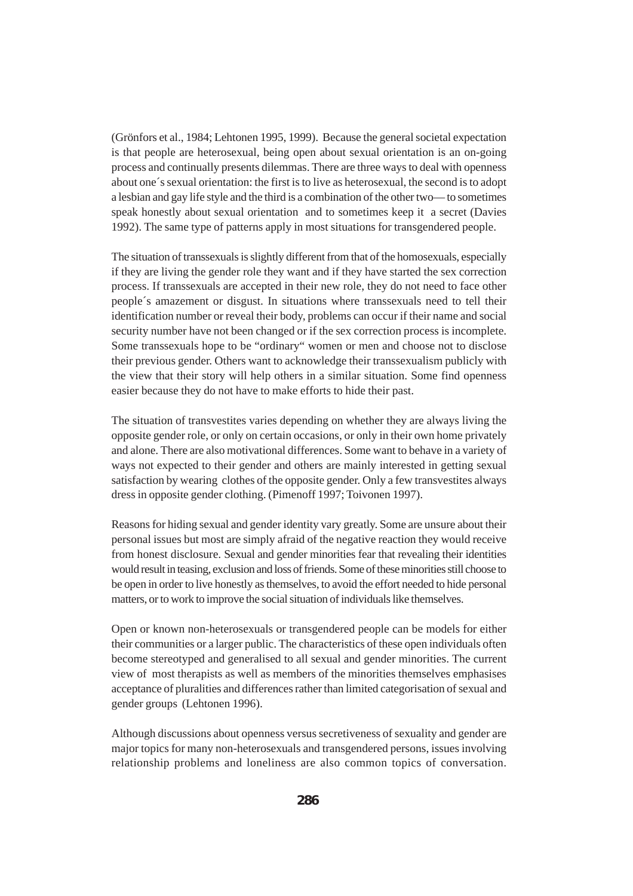(Grönfors et al., 1984; Lehtonen 1995, 1999). Because the general societal expectation is that people are heterosexual, being open about sexual orientation is an on-going process and continually presents dilemmas. There are three ways to deal with openness about one´s sexual orientation: the first is to live as heterosexual, the second is to adopt a lesbian and gay life style and the third is a combination of the other two— to sometimes speak honestly about sexual orientation and to sometimes keep it a secret (Davies 1992). The same type of patterns apply in most situations for transgendered people.

The situation of transsexuals is slightly different from that of the homosexuals, especially if they are living the gender role they want and if they have started the sex correction process. If transsexuals are accepted in their new role, they do not need to face other people´s amazement or disgust. In situations where transsexuals need to tell their identification number or reveal their body, problems can occur if their name and social security number have not been changed or if the sex correction process is incomplete. Some transsexuals hope to be "ordinary" women or men and choose not to disclose their previous gender. Others want to acknowledge their transsexualism publicly with the view that their story will help others in a similar situation. Some find openness easier because they do not have to make efforts to hide their past.

The situation of transvestites varies depending on whether they are always living the opposite gender role, or only on certain occasions, or only in their own home privately and alone. There are also motivational differences. Some want to behave in a variety of ways not expected to their gender and others are mainly interested in getting sexual satisfaction by wearing clothes of the opposite gender. Only a few transvestites always dress in opposite gender clothing. (Pimenoff 1997; Toivonen 1997).

Reasons for hiding sexual and gender identity vary greatly. Some are unsure about their personal issues but most are simply afraid of the negative reaction they would receive from honest disclosure. Sexual and gender minorities fear that revealing their identities would result in teasing, exclusion and loss of friends. Some of these minorities still choose to be open in order to live honestly as themselves, to avoid the effort needed to hide personal matters, or to work to improve the social situation of individuals like themselves.

Open or known non-heterosexuals or transgendered people can be models for either their communities or a larger public. The characteristics of these open individuals often become stereotyped and generalised to all sexual and gender minorities. The current view of most therapists as well as members of the minorities themselves emphasises acceptance of pluralities and differences rather than limited categorisation of sexual and gender groups (Lehtonen 1996).

Although discussions about openness versus secretiveness of sexuality and gender are major topics for many non-heterosexuals and transgendered persons, issues involving relationship problems and loneliness are also common topics of conversation.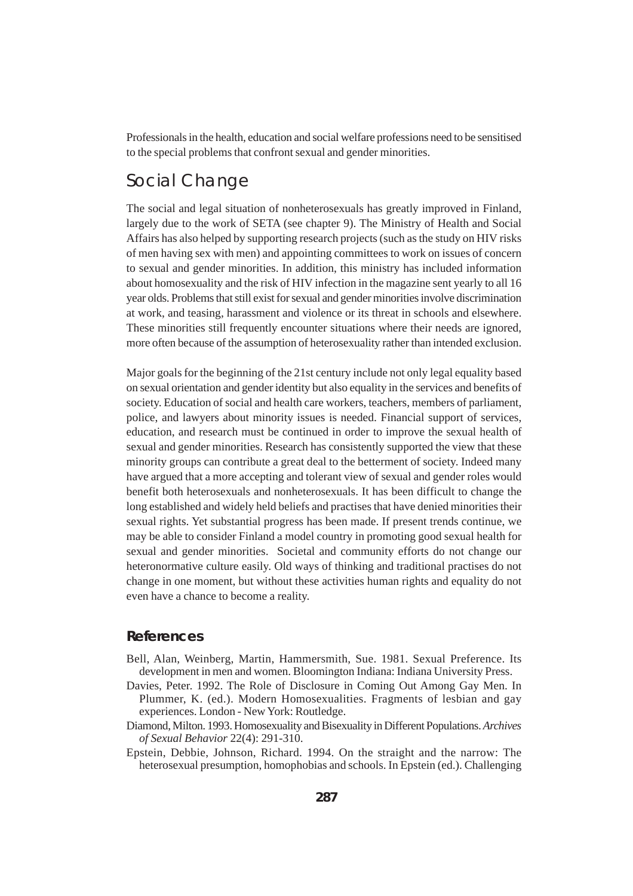Professionals in the health, education and social welfare professions need to be sensitised to the special problems that confront sexual and gender minorities.

### Social Change

The social and legal situation of nonheterosexuals has greatly improved in Finland, largely due to the work of SETA (see chapter 9). The Ministry of Health and Social Affairs has also helped by supporting research projects (such as the study on HIV risks of men having sex with men) and appointing committees to work on issues of concern to sexual and gender minorities. In addition, this ministry has included information about homosexuality and the risk of HIV infection in the magazine sent yearly to all 16 year olds. Problems that still exist for sexual and gender minorities involve discrimination at work, and teasing, harassment and violence or its threat in schools and elsewhere. These minorities still frequently encounter situations where their needs are ignored, more often because of the assumption of heterosexuality rather than intended exclusion.

Major goals for the beginning of the 21st century include not only legal equality based on sexual orientation and gender identity but also equality in the services and benefits of society. Education of social and health care workers, teachers, members of parliament, police, and lawyers about minority issues is needed. Financial support of services, education, and research must be continued in order to improve the sexual health of sexual and gender minorities. Research has consistently supported the view that these minority groups can contribute a great deal to the betterment of society. Indeed many have argued that a more accepting and tolerant view of sexual and gender roles would benefit both heterosexuals and nonheterosexuals. It has been difficult to change the long established and widely held beliefs and practises that have denied minorities their sexual rights. Yet substantial progress has been made. If present trends continue, we may be able to consider Finland a model country in promoting good sexual health for sexual and gender minorities. Societal and community efforts do not change our heteronormative culture easily. Old ways of thinking and traditional practises do not change in one moment, but without these activities human rights and equality do not even have a chance to become a reality.

#### **References**

- Bell, Alan, Weinberg, Martin, Hammersmith, Sue. 1981. Sexual Preference. Its development in men and women. Bloomington Indiana: Indiana University Press.
- Davies, Peter. 1992. The Role of Disclosure in Coming Out Among Gay Men. In Plummer, K. (ed.). Modern Homosexualities. Fragments of lesbian and gay experiences. London - New York: Routledge.
- Diamond, Milton. 1993. Homosexuality and Bisexuality in Different Populations. *Archives of Sexual Behavior* 22(4): 291-310.
- Epstein, Debbie, Johnson, Richard. 1994. On the straight and the narrow: The heterosexual presumption, homophobias and schools. In Epstein (ed.). Challenging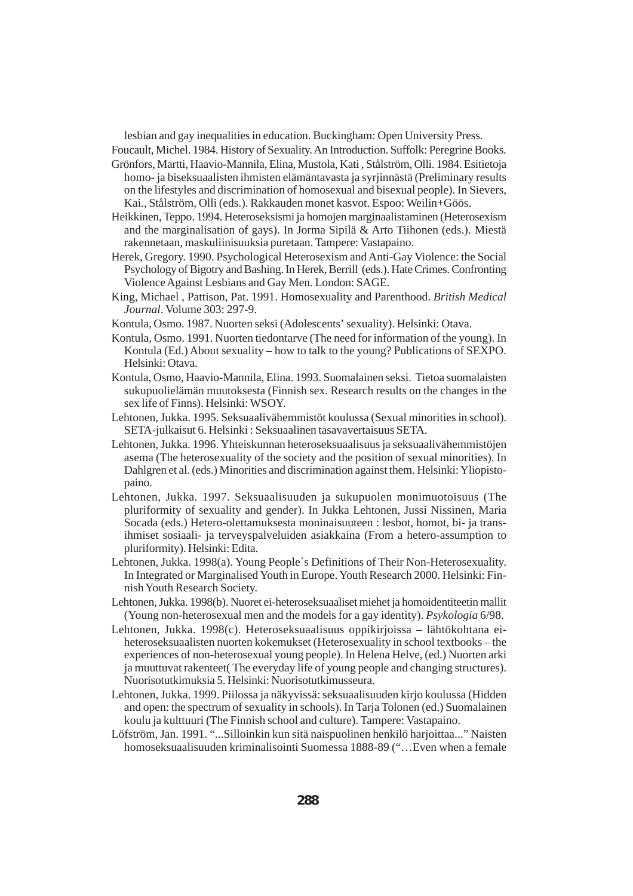lesbian and gay inequalities in education. Buckingham: Open University Press.

Foucault, Michel. 1984. History of Sexuality. An Introduction. Suffolk: Peregrine Books.

- Grönfors, Martti, Haavio-Mannila, Elina, Mustola, Kati , Stålström, Olli. 1984. Esitietoja homo- ja biseksuaalisten ihmisten elämäntavasta ja syrjinnästä (Preliminary results on the lifestyles and discrimination of homosexual and bisexual people). In Sievers, Kai., Stålström, Olli (eds.). Rakkauden monet kasvot. Espoo: Weilin+Göös.
- Heikkinen, Teppo. 1994. Heteroseksismi ja homojen marginaalistaminen (Heterosexism and the marginalisation of gays). In Jorma Sipilä & Arto Tiihonen (eds.). Miestä rakennetaan, maskuliinisuuksia puretaan. Tampere: Vastapaino.
- Herek, Gregory. 1990. Psychological Heterosexism and Anti-Gay Violence: the Social Psychology of Bigotry and Bashing. In Herek, Berrill (eds.). Hate Crimes. Confronting Violence Against Lesbians and Gay Men. London: SAGE.
- King, Michael , Pattison, Pat. 1991. Homosexuality and Parenthood. *British Medical Journal*. Volume 303: 297-9.
- Kontula, Osmo. 1987. Nuorten seksi (Adolescents' sexuality). Helsinki: Otava.
- Kontula, Osmo. 1991. Nuorten tiedontarve (The need for information of the young). In Kontula (Ed.) About sexuality – how to talk to the young? Publications of SEXPO. Helsinki: Otava.
- Kontula, Osmo, Haavio-Mannila, Elina. 1993. Suomalainen seksi. Tietoa suomalaisten sukupuolielämän muutoksesta (Finnish sex. Research results on the changes in the sex life of Finns). Helsinki: WSOY.
- Lehtonen, Jukka. 1995. Seksuaalivähemmistöt koulussa (Sexual minorities in school). SETA-julkaisut 6. Helsinki : Seksuaalinen tasavavertaisuus SETA.
- Lehtonen, Jukka. 1996. Yhteiskunnan heteroseksuaalisuus ja seksuaalivähemmistöjen asema (The heterosexuality of the society and the position of sexual minorities). In Dahlgren et al. (eds.) Minorities and discrimination against them. Helsinki: Yliopistopaino.
- Lehtonen, Jukka. 1997. Seksuaalisuuden ja sukupuolen monimuotoisuus (The pluriformity of sexuality and gender). In Jukka Lehtonen, Jussi Nissinen, Maria Socada (eds.) Hetero-olettamuksesta moninaisuuteen : lesbot, homot, bi- ja transihmiset sosiaali- ja terveyspalveluiden asiakkaina (From a hetero-assumption to pluriformity). Helsinki: Edita.
- Lehtonen, Jukka. 1998(a). Young People´s Definitions of Their Non-Heterosexuality. In Integrated or Marginalised Youth in Europe. Youth Research 2000. Helsinki: Finnish Youth Research Society.
- Lehtonen, Jukka. 1998(b). Nuoret ei-heteroseksuaaliset miehet ja homoidentiteetin mallit (Young non-heterosexual men and the models for a gay identity). *Psykologia* 6/98.
- Lehtonen, Jukka. 1998(c). Heteroseksuaalisuus oppikirjoissa lähtökohtana eiheteroseksuaalisten nuorten kokemukset (Heterosexuality in school textbooks – the experiences of non-heterosexual young people). In Helena Helve, (ed.) Nuorten arki ja muuttuvat rakenteet( The everyday life of young people and changing structures). Nuorisotutkimuksia 5. Helsinki: Nuorisotutkimusseura.
- Lehtonen, Jukka. 1999. Piilossa ja näkyvissä: seksuaalisuuden kirjo koulussa (Hidden and open: the spectrum of sexuality in schools). In Tarja Tolonen (ed.) Suomalainen koulu ja kulttuuri (The Finnish school and culture). Tampere: Vastapaino.
- Löfström, Jan. 1991. "...Silloinkin kun sitä naispuolinen henkilö harjoittaa..." Naisten homoseksuaalisuuden kriminalisointi Suomessa 1888-89 ("…Even when a female